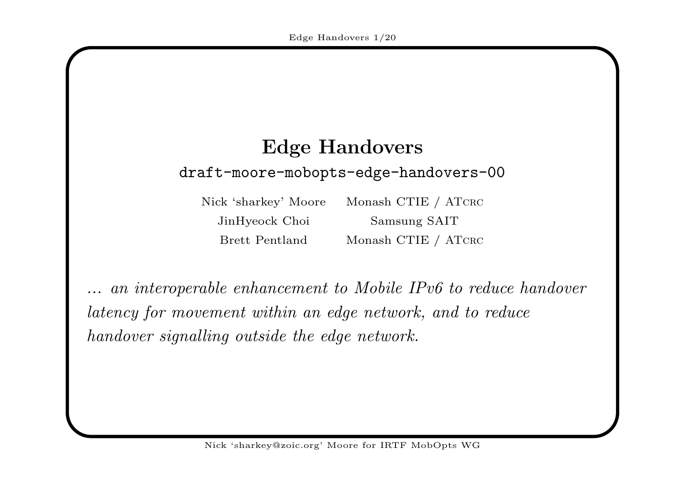# Edge Handovers draft-moore-mobopts-edge-handovers-00

Nick 'sharkey' Moore JinHyeock Choi Samsung SAIT Brett Pentland

Monash CTIE / ATCRC d Monash CTIE / ATCRC

... an interoperable enhancement to Mobile IPv6 to reduce handover latency for movement within an edge network, and to reduce handover signalling outside the edge network.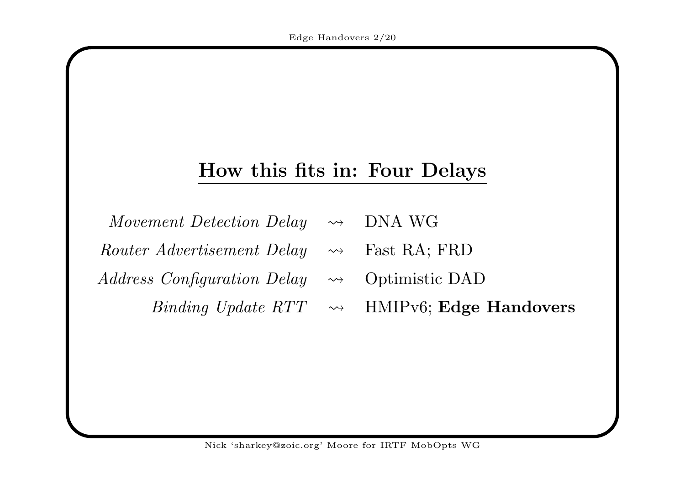#### How this fits in: Four Delays

| Movement Detection Delay $\rightsquigarrow$ | DNA WG |
|---------------------------------------------|--------|
|---------------------------------------------|--------|

- Router Advertisement Delay  $\rightsquigarrow$  Fast RA; FRD
- $Address$  Configuration Delay  $\leadsto$  Optimistic DAD

Binding Update  $RTT \rightarrow$  HMIPv6; Edge Handovers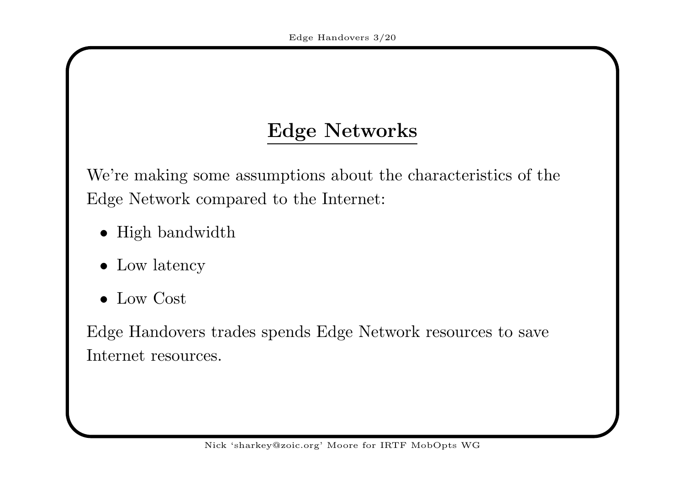# Edge Networks

We're making some assumptions about the characteristics of the Edge Network compared to the Internet:

- High bandwidth
- Low latency
- Low Cost

Edge Handovers trades spends Edge Network resources to save Internet resources.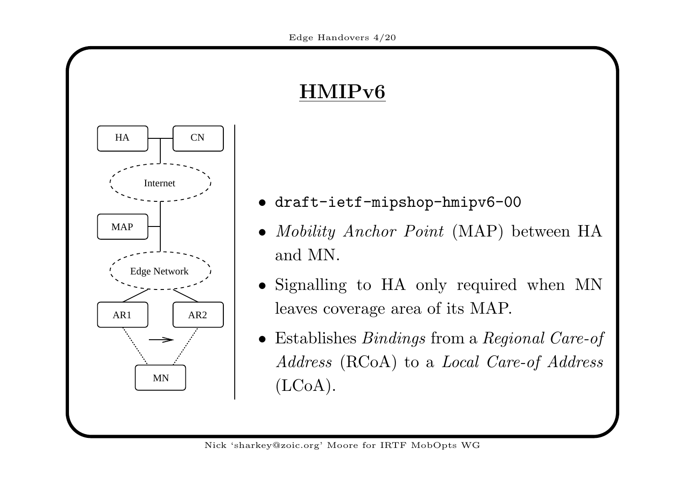# $\rm HMIPv6$



- draft-ietf-mipshop-hmipv6-00
- *Mobility Anchor Point* (MAP) between HA and MN.
- Signalling to HA only required when MN leaves coverage area of its MAP.
- Establishes *Bindings* from a *Regional Care-of*  $Address \ (\text{RCoA}) \ \text{to a } \ Local \ Care\text{-}of \ Address$ (LCoA).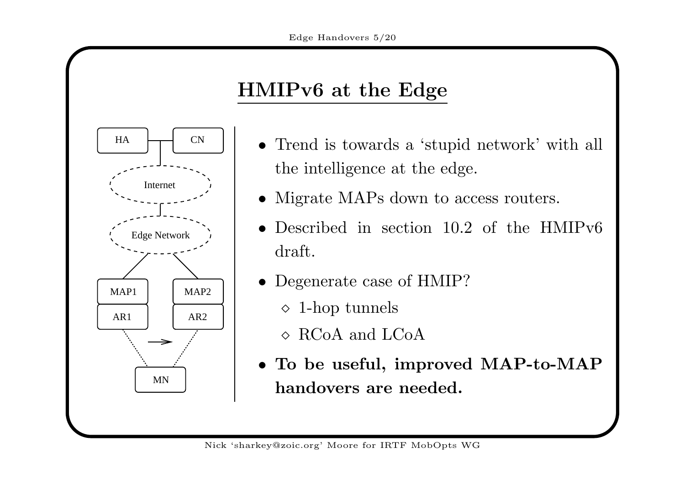# HMIPv6 at the Edge

HA

AR1

MAP1

CN

AR2

MAP2

MN

Internet

Edge Network

- Trend is towards <sup>a</sup> 'stupid network' with all the intelligence at the edge.
- Migrate MAPs down to access routers.
- $\bullet$ • Described in section 10.2 of the HMIPv6 draft.
- Degenerate case of HMIP?
	- $\diamond$  1-hop tunnels
	- $\diamond$  RCoA and LCoA
- To be useful, improved MAP-to-MAP handovers are needed.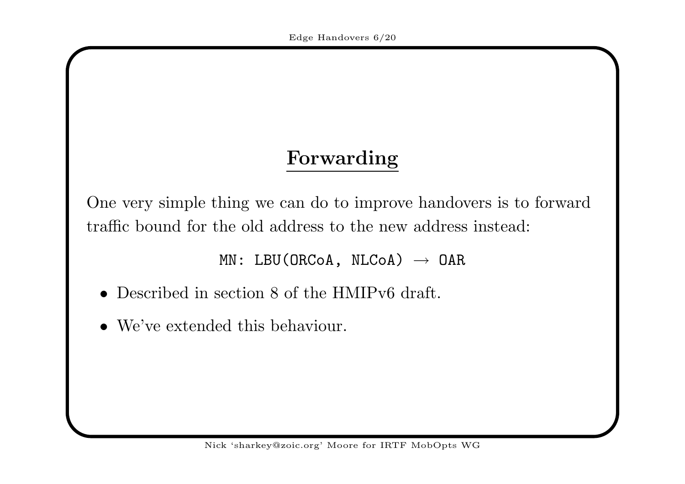# Forwarding

One very simple thing we can do to improve handovers is to forward traffic bound for the old address to the new address instead:

 $\texttt{MN: LBU(ORCoA, NLCoA)} \ \to \ \texttt{OAR}$ 

- Described in section 8 of the HMIPv6 draft.
- We've extended this behaviour.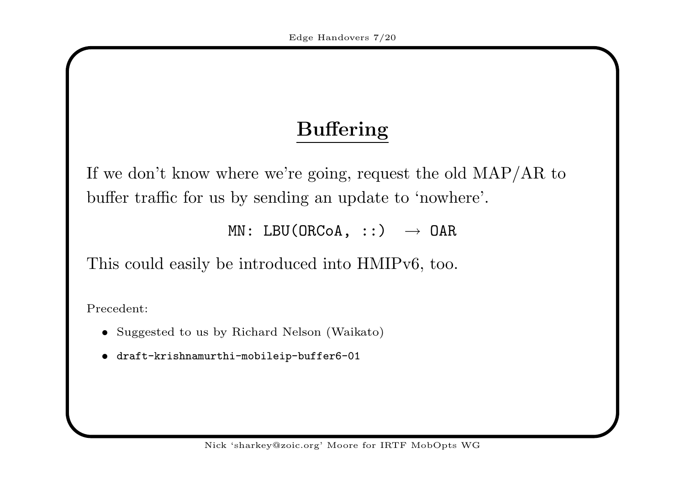# Buffering

If we don't know where we're going, request the old MAP/AR to buffer traffic for us by sending an update to 'nowhere'.

 $\texttt{MN: LBU(ORCoA, \ ::)} \quad \mathbin{\rightarrow} \texttt{OAR}$ 

This could easily be introduced into HMIPv6, too.

Precedent:

- Suggested to us by Richard Nelson (Waikato)
- draft-krishnamurthi-mobileip-buffer6-01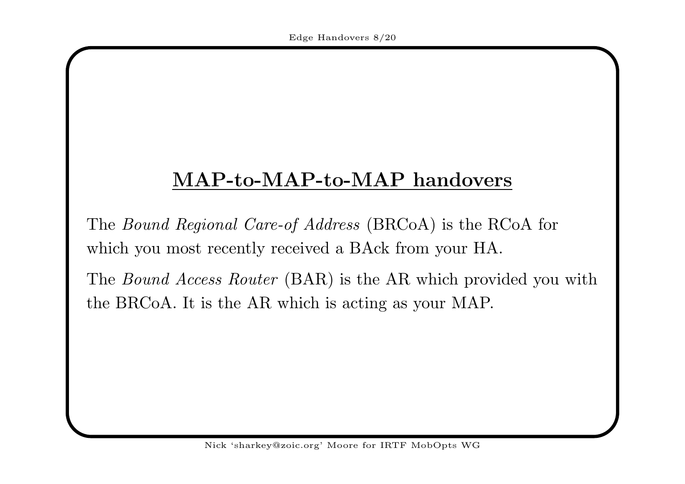### $\bf MAP\text{-}to\text{-}MAP\text{-}to\text{-}MAP$  handovers

The *Bound Regional Care-of Address* (BRCoA) is the RCoA for which you most recently received <sup>a</sup> BAck from your HA.

The *Bound Access Router* (BAR) is the AR which provided you with the BRCoA. It is the AR which is acting as your MAP.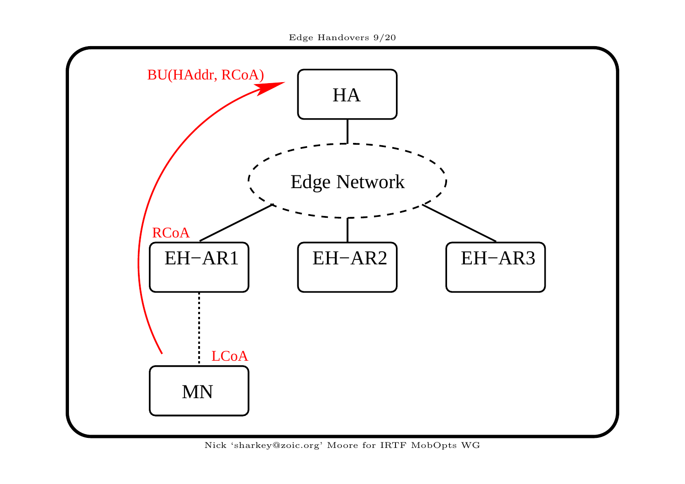



Nick 'sharkey@zoic.org' Moore for IRTF MobOpts WG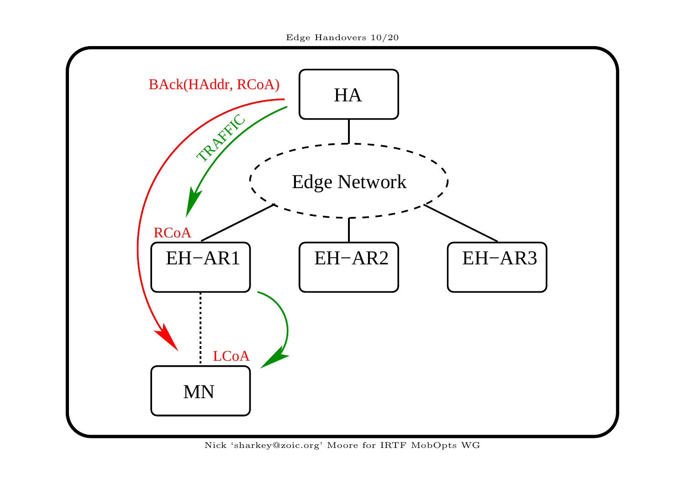

Nick 'sharkey@zoic.org' Moore for IRTF MobOpts WG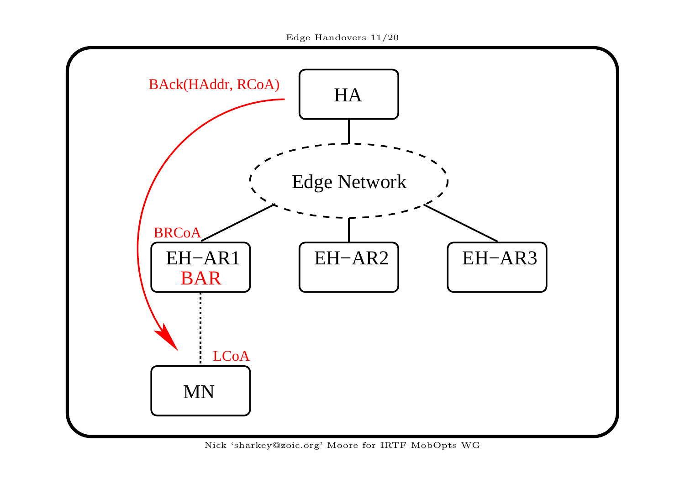

Nick 'sharkey@zoic.org' Moore for IRTF MobOpts WG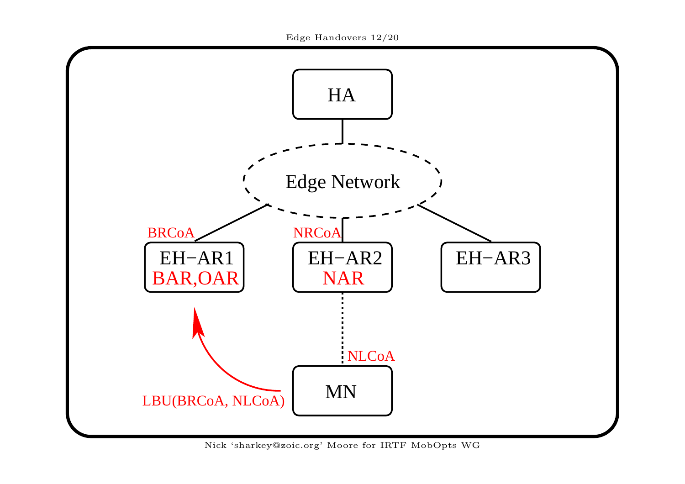

Nick 'sharkey@zoic.org' Moore for IRTF MobOpts WG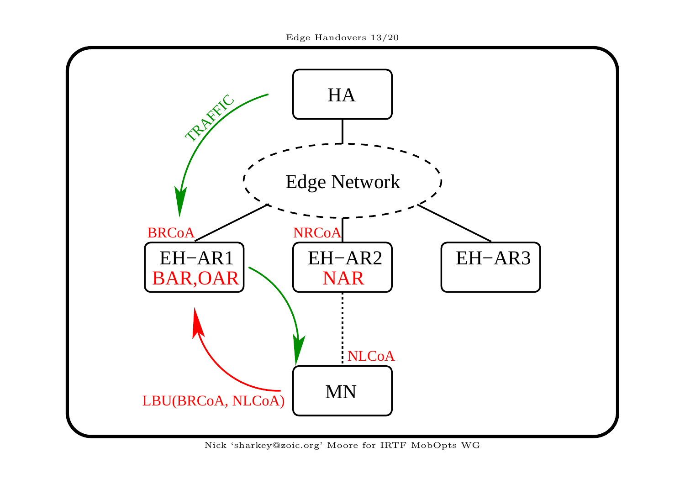

Nick 'sharkey@zoic.org' Moore for IRTF MobOpts WG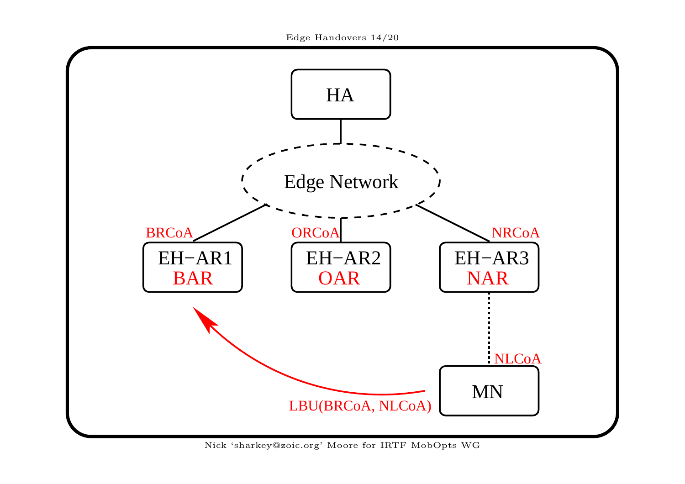

Nick 'sharkey@zoic.org' Moore for IRTF MobOpts WG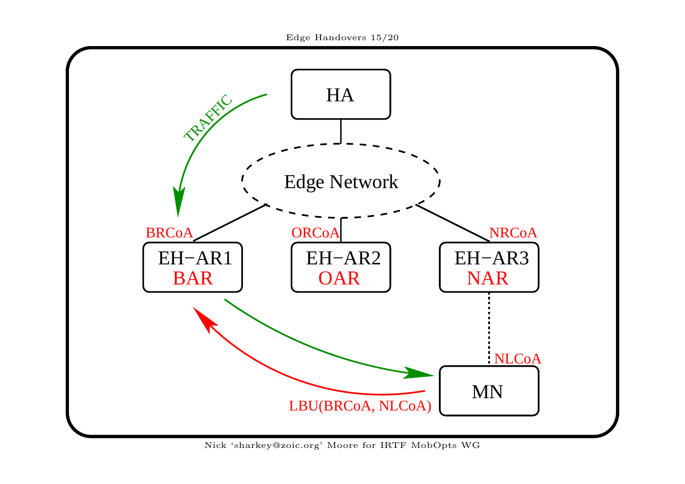

Nick 'sharkey@zoic.org' Moore for IRTF MobOpts WG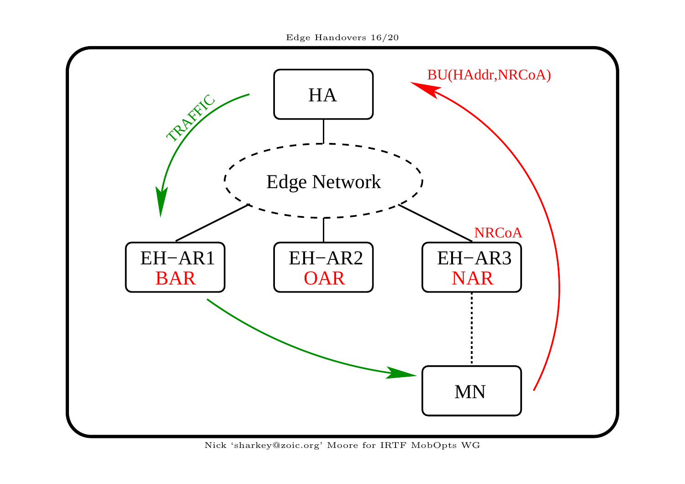

Nick 'sharkey@zoic.org' Moore for IRTF MobOpts WG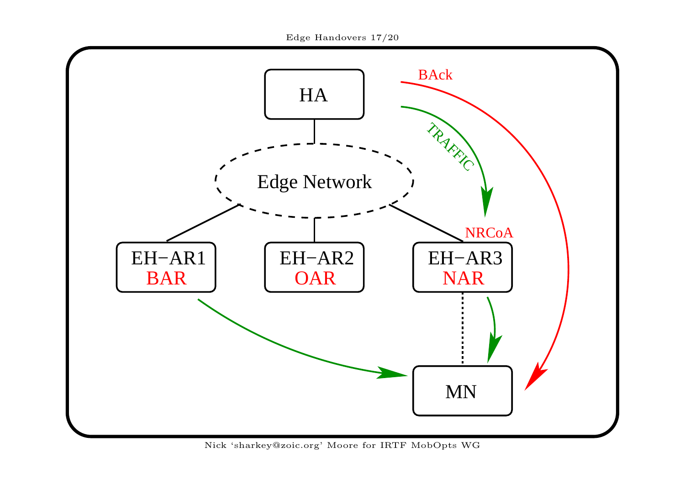

Nick 'sharkey@zoic.org' Moore for IRTF MobOpts WG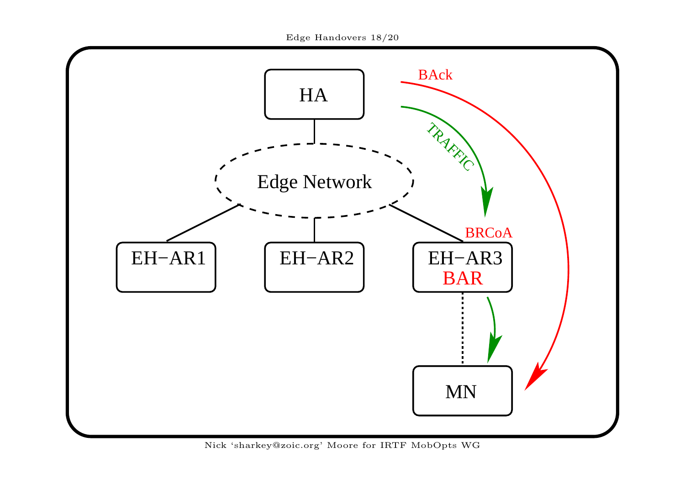

Nick 'sharkey@zoic.org' Moore for IRTF MobOpts WG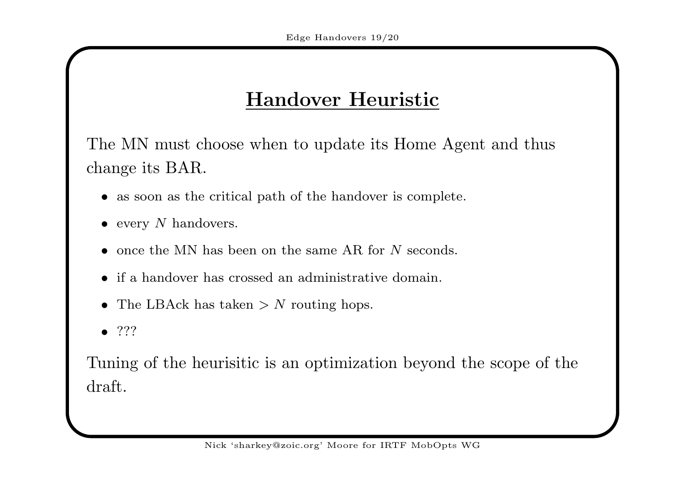# Handover Heuristic

The MN must choose when to update its Home Agent and thus change its BAR.

- as soon as the critical path of the handover is complete.
- every  $N$  handovers.
- once the MN has been on the same AR for N seconds.
- if <sup>a</sup> handover has crossed an administrative domain.
- The LBAck has taken  $> N$  routing hops.
- $\bullet$  ???

Tuning of the heurisitic is an optimization beyond the scope of the draft.